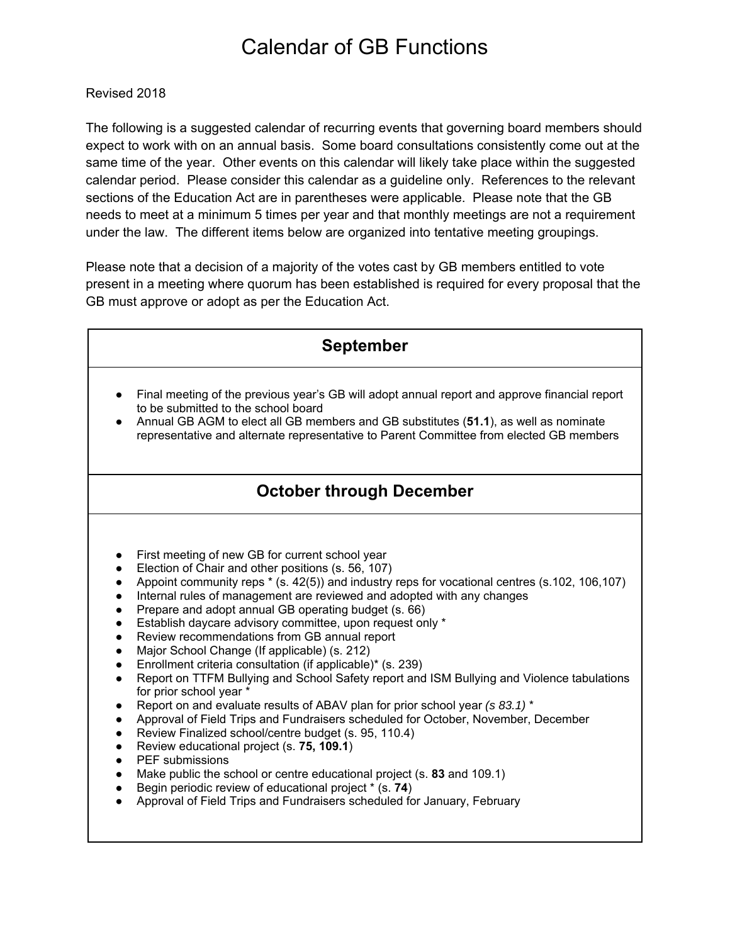## Calendar of GB Functions

## Revised 2018

The following is a suggested calendar of recurring events that governing board members should expect to work with on an annual basis. Some board consultations consistently come out at the same time of the year. Other events on this calendar will likely take place within the suggested calendar period. Please consider this calendar as a guideline only. References to the relevant sections of the Education Act are in parentheses were applicable. Please note that the GB needs to meet at a minimum 5 times per year and that monthly meetings are not a requirement under the law. The different items below are organized into tentative meeting groupings.

Please note that a decision of a majority of the votes cast by GB members entitled to vote present in a meeting where quorum has been established is required for every proposal that the GB must approve or adopt as per the Education Act.